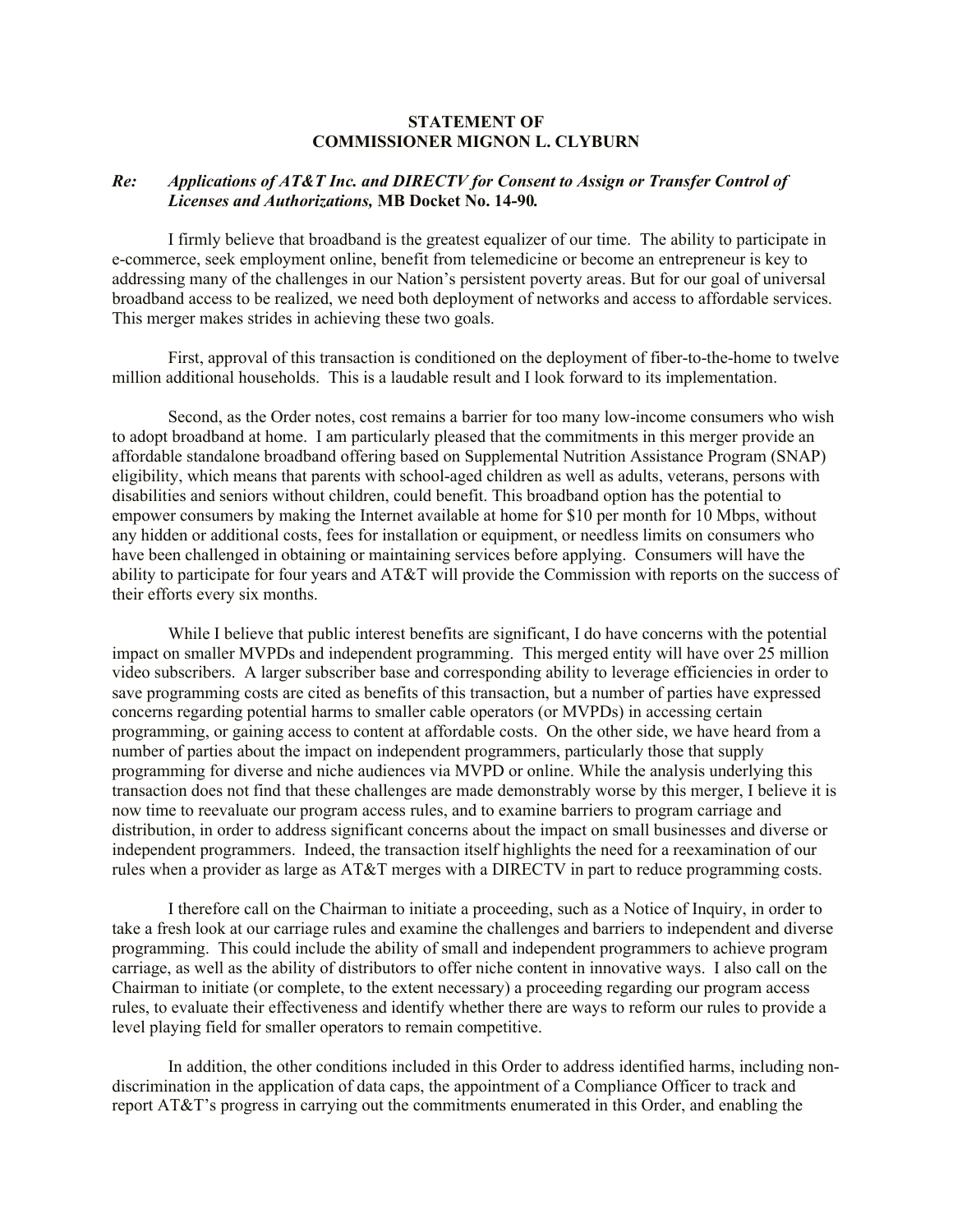## **STATEMENT OF COMMISSIONER MIGNON L. CLYBURN**

## *Re: Applications of AT&T Inc. and DIRECTV for Consent to Assign or Transfer Control of Licenses and Authorizations,* **MB Docket No. 14-90***.*

I firmly believe that broadband is the greatest equalizer of our time. The ability to participate in e-commerce, seek employment online, benefit from telemedicine or become an entrepreneur is key to addressing many of the challenges in our Nation's persistent poverty areas. But for our goal of universal broadband access to be realized, we need both deployment of networks and access to affordable services. This merger makes strides in achieving these two goals.

First, approval of this transaction is conditioned on the deployment of fiber-to-the-home to twelve million additional households. This is a laudable result and I look forward to its implementation.

Second, as the Order notes, cost remains a barrier for too many low-income consumers who wish to adopt broadband at home. I am particularly pleased that the commitments in this merger provide an affordable standalone broadband offering based on Supplemental Nutrition Assistance Program (SNAP) eligibility, which means that parents with school-aged children as well as adults, veterans, persons with disabilities and seniors without children, could benefit. This broadband option has the potential to empower consumers by making the Internet available at home for \$10 per month for 10 Mbps, without any hidden or additional costs, fees for installation or equipment, or needless limits on consumers who have been challenged in obtaining or maintaining services before applying. Consumers will have the ability to participate for four years and AT&T will provide the Commission with reports on the success of their efforts every six months.

While I believe that public interest benefits are significant, I do have concerns with the potential impact on smaller MVPDs and independent programming. This merged entity will have over 25 million video subscribers. A larger subscriber base and corresponding ability to leverage efficiencies in order to save programming costs are cited as benefits of this transaction, but a number of parties have expressed concerns regarding potential harms to smaller cable operators (or MVPDs) in accessing certain programming, or gaining access to content at affordable costs. On the other side, we have heard from a number of parties about the impact on independent programmers, particularly those that supply programming for diverse and niche audiences via MVPD or online. While the analysis underlying this transaction does not find that these challenges are made demonstrably worse by this merger, I believe it is now time to reevaluate our program access rules, and to examine barriers to program carriage and distribution, in order to address significant concerns about the impact on small businesses and diverse or independent programmers. Indeed, the transaction itself highlights the need for a reexamination of our rules when a provider as large as AT&T merges with a DIRECTV in part to reduce programming costs.

I therefore call on the Chairman to initiate a proceeding, such as a Notice of Inquiry, in order to take a fresh look at our carriage rules and examine the challenges and barriers to independent and diverse programming. This could include the ability of small and independent programmers to achieve program carriage, as well as the ability of distributors to offer niche content in innovative ways. I also call on the Chairman to initiate (or complete, to the extent necessary) a proceeding regarding our program access rules, to evaluate their effectiveness and identify whether there are ways to reform our rules to provide a level playing field for smaller operators to remain competitive.

In addition, the other conditions included in this Order to address identified harms, including nondiscrimination in the application of data caps, the appointment of a Compliance Officer to track and report AT&T's progress in carrying out the commitments enumerated in this Order, and enabling the